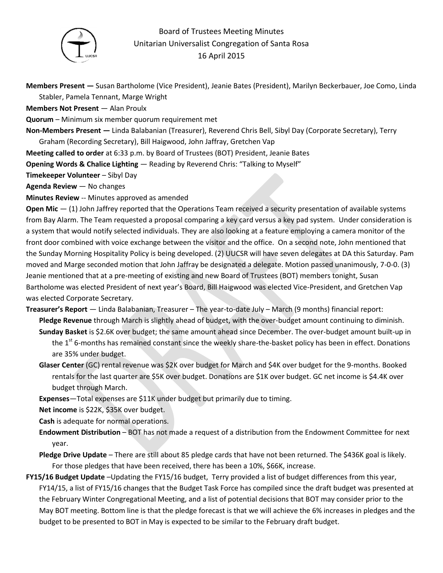

## Board of Trustees Meeting Minutes Unitarian Universalist Congregation of Santa Rosa 16 April 2015

**Members Present —** Susan Bartholome (Vice President), Jeanie Bates (President), Marilyn Beckerbauer, Joe Como, Linda Stabler, Pamela Tennant, Marge Wright

**Members Not Present** — Alan Proulx

**Quorum** – Minimum six member quorum requirement met

**Non-Members Present —** Linda Balabanian (Treasurer), Reverend Chris Bell, Sibyl Day (Corporate Secretary), Terry

Graham (Recording Secretary), Bill Haigwood, John Jaffray, Gretchen Vap

**Meeting called to order** at 6:33 p.m. by Board of Trustees (BOT) President, Jeanie Bates

**Opening Words & Chalice Lighting** — Reading by Reverend Chris: "Talking to Myself"

**Timekeeper Volunteer** – Sibyl Day

**Agenda Review** — No changes

**Minutes Review** -- Minutes approved as amended

**Open Mic** — (1) John Jaffrey reported that the Operations Team received a security presentation of available systems from Bay Alarm. The Team requested a proposal comparing a key card versus a key pad system. Under consideration is a system that would notify selected individuals. They are also looking at a feature employing a camera monitor of the front door combined with voice exchange between the visitor and the office. On a second note, John mentioned that the Sunday Morning Hospitality Policy is being developed. (2) UUCSR will have seven delegates at DA this Saturday. Pam moved and Marge seconded motion that John Jaffray be designated a delegate. Motion passed unanimously, 7-0-0. (3) Jeanie mentioned that at a pre-meeting of existing and new Board of Trustees (BOT) members tonight, Susan Bartholome was elected President of next year's Board, Bill Haigwood was elected Vice-President, and Gretchen Vap was elected Corporate Secretary.

**Treasurer's Report** — Linda Balabanian, Treasurer – The year-to-date July – March (9 months) financial report: **Pledge Revenue** through March is slightly ahead of budget, with the over-budget amount continuing to diminish. **Sunday Basket** is \$2.6K over budget; the same amount ahead since December. The over-budget amount built-up in the 1<sup>st</sup> 6-months has remained constant since the weekly share-the-basket policy has been in effect. Donations

are 35% under budget.

- **Glaser Center** (GC) rental revenue was \$2K over budget for March and \$4K over budget for the 9-months. Booked rentals for the last quarter are \$5K over budget. Donations are \$1K over budget. GC net income is \$4.4K over budget through March.
- **Expenses**—Total expenses are \$11K under budget but primarily due to timing.
- **Net income** is \$22K, \$35K over budget.

**Cash** is adequate for normal operations.

- **Endowment Distribution** BOT has not made a request of a distribution from the Endowment Committee for next year.
- **Pledge Drive Update**  There are still about 85 pledge cards that have not been returned. The \$436K goal is likely. For those pledges that have been received, there has been a 10%, \$66K, increase.
- **FY15/16 Budget Update** –Updating the FY15/16 budget, Terry provided a list of budget differences from this year, FY14/15, a list of FY15/16 changes that the Budget Task Force has compiled since the draft budget was presented at the February Winter Congregational Meeting, and a list of potential decisions that BOT may consider prior to the May BOT meeting. Bottom line is that the pledge forecast is that we will achieve the 6% increases in pledges and the budget to be presented to BOT in May is expected to be similar to the February draft budget.